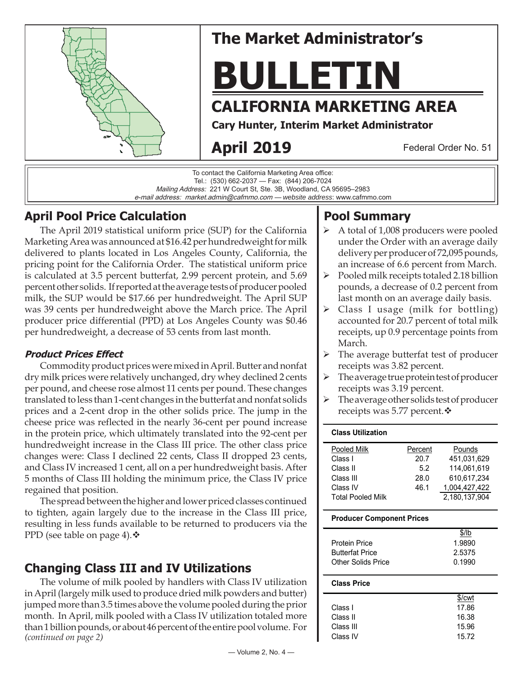

# **The Market Administrator's**

**BULLETIN**

# **CALIFORNIA MARKETING AREA**

**Cary Hunter, Interim Market Administrator**

# **April 2019**

Federal Order No. 51

To contact the California Marketing Area office: Tel.: (530) 662-2037 — Fax: (844) 206-7024 Mailing Address: 221 W Court St, Ste. 3B, Woodland, CA 95695–2983 e-mail address: market.admin@cafmmo.com — *website address*: www.cafmmo.com

## **April Pool Price Calculation**

The April 2019 statistical uniform price (SUP) for the California Marketing Area was announced at \$16.42 per hundredweight for milk delivered to plants located in Los Angeles County, California, the pricing point for the California Order. The statistical uniform price is calculated at 3.5 percent butterfat, 2.99 percent protein, and 5.69 percent other solids. If reported at the average tests of producer pooled milk, the SUP would be \$17.66 per hundredweight. The April SUP was 39 cents per hundredweight above the March price. The April producer price differential (PPD) at Los Angeles County was \$0.46 per hundredweight, a decrease of 53 cents from last month.

### **Product Prices Effect**

Commodity product prices were mixed in April. Butter and nonfat dry milk prices were relatively unchanged, dry whey declined 2 cents per pound, and cheese rose almost 11 cents per pound. These changes translated to less than 1- cent changes in the butterfat and nonfat solids prices and a 2-cent drop in the other solids price. The jump in the cheese price was reflected in the nearly 36-cent per pound increase in the protein price, which ultimately translated into the 92-cent per hundredweight increase in the Class III price. The other class price changes were: Class I declined 22 cents, Class II dropped 23 cents, and Class IV increased 1 cent, all on a per hundredweight basis. After 5 months of Class III holding the minimum price, the Class IV price regained that position.

The spread between the higher and lower priced classes continued to tighten, again largely due to the increase in the Class III price, resulting in less funds available to be returned to producers via the PPD (see table on page 4).  $\cdot$ 

## **Changing Class III and IV Utilizations**

*(continued on page 2)* The volume of milk pooled by handlers with Class IV utilization in April (largely milk used to produce dried milk powders and butter) jumped more than 3.5 times above the volume pooled during the prior month. In April, milk pooled with a Class IV utilization totaled more than 1 billion pounds, or about 46 percent of the entire pool volume. For

## delivery per producer of 72,095 pounds, an increase of 6.6 percent from March.

**Pool Summary**

 $\triangleright$  Pooled milk receipts totaled 2.18 billion pounds, a decrease of 0.2 percent from last month on an average daily basis.

 A total of 1,008 producers were pooled under the Order with an average daily

- $\triangleright$  Class I usage (milk for bottling) accounted for 20.7 percent of total milk receipts, up 0.9 percentage points from March.
- > The average butterfat test of producer receipts was 3.82 percent.
- $\triangleright$  The average true protein test of producer receipts was 3.19 percent.
- $\triangleright$  The average other solids test of producer receipts was 5.77 percent. ❖

#### **Class Utilization**

| Pooled Milk              | Percent | Pounds        |
|--------------------------|---------|---------------|
| Class I                  | 20.7    | 451,031,629   |
| Class II                 | 5.2     | 114.061.619   |
| Class III                | 28.0    | 610.617.234   |
| Class IV                 | 46.1    | 1,004,427,422 |
| <b>Total Pooled Milk</b> |         | 2,180,137,904 |

#### **Producer Component Prices**

|                        | $$$ /lb |
|------------------------|---------|
| Protein Price          | 1.9890  |
| <b>Butterfat Price</b> | 2.5375  |
| Other Solids Price     | 0.1990  |
|                        |         |

#### **Class Price**

|           | \$/cwt |
|-----------|--------|
| Class L   | 17.86  |
| Class II  | 16.38  |
| Class III | 15.96  |
| Class IV  | 15.72  |
|           |        |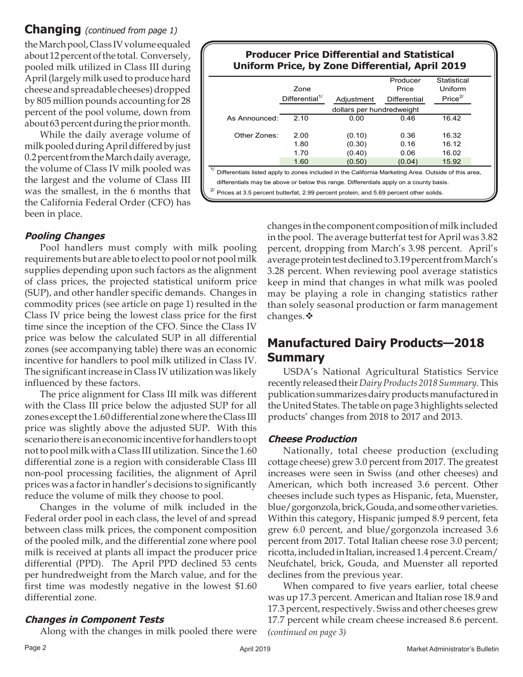#### **Changing** (continued from page 1) the March pool, Class IV volume equaled about 12 percent of the total. Conversely, pooled milk utilized in Class III during April (largely milk used to produce hard cheese and spreadable cheeses) dropped by 805 million pounds accounting for 28 percent of the pool volume, down from about 63 percent during the prior month.

While the daily average volume of milk pooled during April differed by just 0.2 percent from the March daily average, the volume of Class IV milk pooled was the largest and the volume of Class III was the smallest, in the 6 months that the California Federal Order (CFO) has been in place.

#### **Producer Price Differential and Statistical Uniform Price, by Zone Differential, April 2019**

|                                                                                                            | Zone                       |            | Producer<br>Price   | Statistical<br>Uniform |  |
|------------------------------------------------------------------------------------------------------------|----------------------------|------------|---------------------|------------------------|--|
|                                                                                                            | Differential <sup>1/</sup> | Adiustment | <b>Differential</b> | Price <sup>2/</sup>    |  |
|                                                                                                            | dollars per hundredweight  |            |                     |                        |  |
| As Announced:                                                                                              | 2.10                       | 0.00       | 0.46                | 16.42                  |  |
|                                                                                                            |                            |            |                     |                        |  |
| Other Zones:                                                                                               | 2.00                       | (0.10)     | 0.36                | 16.32                  |  |
|                                                                                                            | 1.80                       | (0.30)     | 0.16                | 16.12                  |  |
|                                                                                                            | 1.70                       | (0.40)     | 0.06                | 16.02                  |  |
|                                                                                                            | 1.60                       | (0.50)     | (0.04)              | 15.92                  |  |
| 1/<br>Differentials listed apply to zones included in the California Marketing Area. Outside of this area, |                            |            |                     |                        |  |
| differentials may be above or below this range. Differentials apply on a county basis.                     |                            |            |                     |                        |  |
| 21<br>Prices at 3.5 percent butterfat, 2.99 percent protein, and 5.69 percent other solids.                |                            |            |                     |                        |  |

#### **Pooling Changes**

Pool handlers must comply with milk pooling requirements but are able to elect to pool or not pool milk supplies depending upon such factors as the alignment of class prices, the projected statistical uniform price (SUP), and other handler specific demands. Changes in commodity prices (see article on page 1) resulted in the Class IV price being the lowest class price for the first time since the inception of the CFO. Since the Class IV price was below the calculated SUP in all differential zones (see accompanying table) there was an economic incentive for handlers to pool milk utilized in Class IV. The significant increase in Class IV utilization was likely influenced by these factors.

The price alignment for Class III milk was different with the Class III price below the adjusted SUP for all zones except the 1.60 differential zone where the Class III price was slightly above the adjusted SUP. With this scenario there is an economic incentive for handlers to opt not to pool milk with a Class III utilization. Since the 1.60 differential zone is a region with considerable Class III non-pool processing facilities, the alignment of April prices was a factor in handler's decisions to significantly reduce the volume of milk they choose to pool.

Changes in the volume of milk included in the Federal order pool in each class, the level of and spread between class milk prices, the component composition of the pooled milk, and the differential zone where pool milk is received at plants all impact the producer price differential (PPD). The April PPD declined 53 cents per hundredweight from the March value, and for the first time was modestly negative in the lowest \$1.60 differential zone.

#### **Changes in Component Tests**

Along with the changes in milk pooled there were

changes in the component composition of milk included in the pool. The average butterfat test for April was 3.82 percent, dropping from March's 3.98 percent. April's average protein test declined to 3.19 percent from March's 3.28 percent. When reviewing pool average statistics keep in mind that changes in what milk was pooled may be playing a role in changing statistics rather than solely seasonal production or farm management changes. ❖

## **Manufactured Dairy Products—2018 Summary**

USDA's National Agricultural Statistics Service recently released their *Dairy Products 2018 Summary.* This publication summarizes dairy products manufactured in the United States. The table on page 3 highlights selected products' changes from 2018 to 2017 and 2013.

#### **Cheese Production**

Nationally, total cheese production (excluding cottage cheese) grew 3.0 percent from 2017. The greatest increases were seen in Swiss (and other cheeses) and American, which both increased 3.6 percent. Other cheeses include such types as Hispanic, feta, Muenster, blue/gorgonzola, brick, Gouda, and some other varieties. Within this category, Hispanic jumped 8.9 percent, feta grew 6.0 percent, and blue/gorgonzola increased 3.6 percent from 2017. Total Italian cheese rose 3.0 percent; ricotta, included in Italian, increased 1.4 percent. Cream/ Neufchatel, brick, Gouda, and Muenster all reported declines from the previous year.

When compared to five years earlier, total cheese was up 17.3 percent. American and Italian rose 18.9 and 17.3 percent, respectively. Swiss and other cheeses grew 17.7 percent while cream cheese increased 8.6 percent. *(continued on page 3)*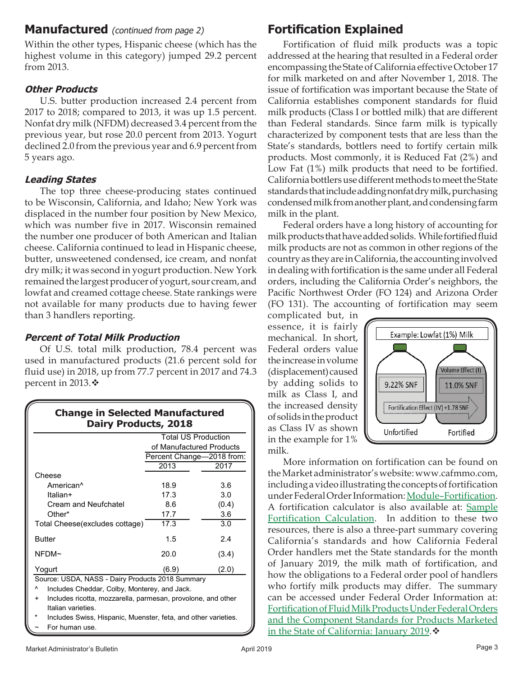### **Manufactured** (continued from page 2)

Within the other types, Hispanic cheese (which has the highest volume in this category) jumped 29.2 percent from 2013.

### **Other Products**

U.S. butter production increased 2.4 percent from 2017 to 2018; compared to 2013, it was up 1.5 percent. Nonfat dry milk (NFDM) decreased 3.4 percent from the previous year, but rose 20.0 percent from 2013. Yogurt declined 2.0 from the previous year and 6.9 percent from 5 years ago.

### **Leading States**

The top three cheese-producing states continued to be Wisconsin, California, and Idaho; New York was displaced in the number four position by New Mexico, which was number five in 2017. Wisconsin remained the number one producer of both American and Italian cheese. California continued to lead in Hispanic cheese, butter, unsweetened condensed, ice cream, and nonfat dry milk; it was second in yogurt production. New York remained the largest producer of yogurt, sour cream, and lowfat and creamed cottage cheese. State rankings were not available for many products due to having fewer than 3 handlers reporting.

### **Percent of Total Milk Production**

Of U.S. total milk production, 78.4 percent was used in manufactured products (21.6 percent sold for fluid use) in 2018, up from 77.7 percent in 2017 and 74.3 percent in 2013. $\ddot{\bullet}$ 

|                                |                           | <b>Total US Production</b> |
|--------------------------------|---------------------------|----------------------------|
|                                | of Manufactured Products  |                            |
|                                | Percent Change-2018 from: |                            |
|                                | 2013                      | 2017                       |
| Cheese                         |                           |                            |
| American <sup>^</sup>          | 18.9                      | 3.6                        |
| Italian+                       | 17.3                      | 3.0                        |
| Cream and Neufchatel           | 8.6                       | (0.4)                      |
| Other*                         | 17.7                      | 3.6                        |
| Total Cheese(excludes cottage) | 17.3                      | 3.0                        |
| <b>Butter</b>                  | 1.5                       | 2.4                        |
| NFDM~                          | 20.0                      | (3.4)                      |
| Yogurt                         | (6.9)                     | (2.0)                      |

^ Includes Cheddar, Colby, Monterey, and Jack.

- Includes ricotta, mozzarella, parmesan, provolone, and other Italian varieties.
- Includes Swiss, Hispanic, Muenster, feta, and other varieties. For human use.

## **Fortification Explained**

Fortification of fluid milk products was a topic addressed at the hearing that resulted in a Federal order encompassing the State of California effective October 17 for milk marketed on and after November 1, 2018. The issue of fortification was important because the State of California establishes component standards for fluid milk products (Class I or bottled milk) that are different than Federal standards. Since farm milk is typically characterized by component tests that are less than the State's standards, bottlers need to fortify certain milk products. Most commonly, it is Reduced Fat (2%) and Low Fat (1%) milk products that need to be fortified. California bottlers use different methods to meet the State standards that include adding nonfat dry milk, purchasing condensed milk from another plant, and condensing farm milk in the plant.

Federal orders have a long history of accounting for milk products that have added solids. While fortified fluid milk products are not as common in other regions of the country as they are in California, the accounting involved in dealing with fortification is the same under all Federal orders, including the California Order's neighbors, the Pacific Northwest Order (FO 124) and Arizona Order (FO 131). The accounting of fortification may seem

complicated but, in essence, it is fairly mechanical. In short, Federal orders value the increase in volume (displacement) caused by adding solids to milk as Class I, and the increased density of solids in the product as Class IV as shown in the example for 1% milk.



More information on fortification can be found on the Market administrator's website: www.cafmmo.com, including a video illustrating the concepts of fortification under Federal Order Information: Module–Fortification. [A fortification calculator is also available at: Sample](https://www.cafmmo.com/download-file/?s=true&folderMap=order.information&fileName=FOValuePerUnitCalculations20180906.xlsx)  Fortification Calculation. In addition to these two resources, there is also a three-part summary covering California's standards and how California Federal Order handlers met the State standards for the month of January 2019, the milk math of fortification, and how the obligations to a Federal order pool of handlers who fortify milk products may differ. The summary can be accessed under Federal Order Information at: [Fortification of Fluid Milk Products Under Federal Orders](https://www.cafmmo.com/download-file/?s=true&folderMap=order.information&fileName=Fortification+of+Fluid+Milk+Products+Under+Federal+Orders+and+the+Component+Standards+for+Products+Marketed+in+the+State+of+California.pdf&ia=inline)  and the Component Standards for Products Marketed in the State of California: January 2019.